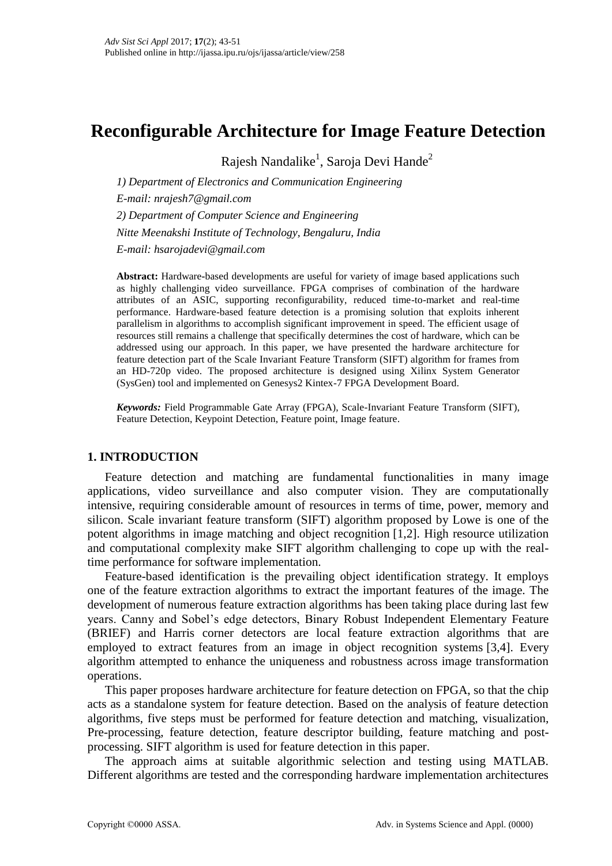# **Reconfigurable Architecture for Image Feature Detection**

Rajesh Nandalike<sup>1</sup>, Saroja Devi Hande<sup>2</sup>

*1) Department of Electronics and Communication Engineering E-mail: nrajesh7@gmail.com 2) Department of Computer Science and Engineering Nitte Meenakshi Institute of Technology, Bengaluru, India E-mail: hsarojadevi@gmail.com*

**Abstract:** Hardware**-**based developments are useful for variety of image based applications such as highly challenging video surveillance. FPGA comprises of combination of the hardware attributes of an ASIC, supporting reconfigurability, reduced time-to-market and real-time performance. Hardware-based feature detection is a promising solution that exploits inherent parallelism in algorithms to accomplish significant improvement in speed. The efficient usage of resources still remains a challenge that specifically determines the cost of hardware, which can be addressed using our approach. In this paper, we have presented the hardware architecture for feature detection part of the Scale Invariant Feature Transform (SIFT) algorithm for frames from an HD-720p video. The proposed architecture is designed using Xilinx System Generator (SysGen) tool and implemented on Genesys2 Kintex-7 FPGA Development Board.

*Keywords:* Field Programmable Gate Array (FPGA), Scale-Invariant Feature Transform (SIFT), Feature Detection, Keypoint Detection, Feature point, Image feature.

# **1. INTRODUCTION**

Feature detection and matching are fundamental functionalities in many image applications, video surveillance and also computer vision. They are computationally intensive, requiring considerable amount of resources in terms of time, power, memory and silicon. Scale invariant feature transform (SIFT) algorithm proposed by Lowe is one of the potent algorithms in image matching and object recognition [1,2]. High resource utilization and computational complexity make SIFT algorithm challenging to cope up with the realtime performance for software implementation.

Feature-based identification is the prevailing object identification strategy. It employs one of the feature extraction algorithms to extract the important features of the image. The development of numerous feature extraction algorithms has been taking place during last few years. Canny and Sobel's edge detectors, Binary Robust Independent Elementary Feature (BRIEF) and Harris corner detectors are local feature extraction algorithms that are employed to extract features from an image in object recognition systems [3,4]. Every algorithm attempted to enhance the uniqueness and robustness across image transformation operations.

This paper proposes hardware architecture for feature detection on FPGA, so that the chip acts as a standalone system for feature detection. Based on the analysis of feature detection algorithms, five steps must be performed for feature detection and matching, visualization, Pre-processing, feature detection, feature descriptor building, feature matching and postprocessing. SIFT algorithm is used for feature detection in this paper.

The approach aims at suitable algorithmic selection and testing using MATLAB. Different algorithms are tested and the corresponding hardware implementation architectures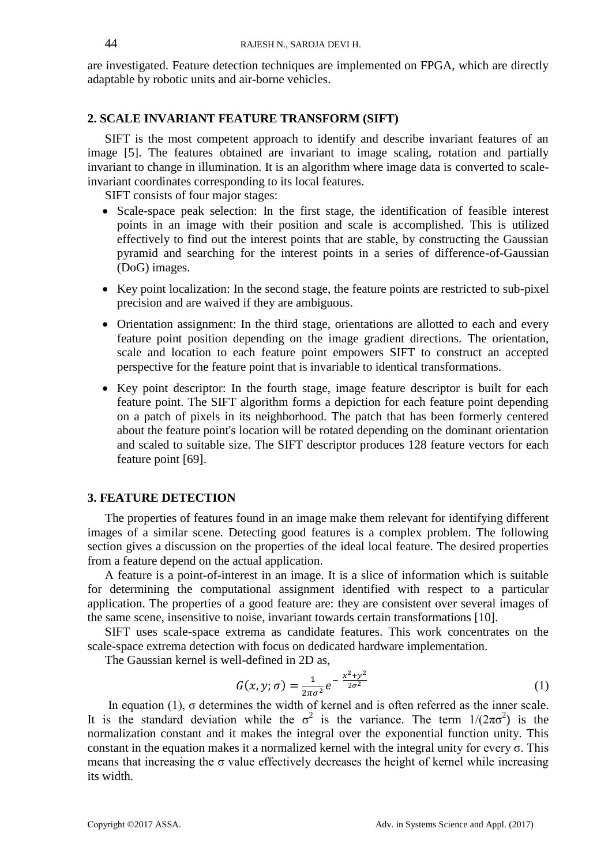are investigated. Feature detection techniques are implemented on FPGA, which are directly adaptable by robotic units and air-borne vehicles.

# **2. SCALE INVARIANT FEATURE TRANSFORM (SIFT)**

SIFT is the most competent approach to identify and describe invariant features of an image [5]. The features obtained are invariant to image scaling, rotation and partially invariant to change in illumination. It is an algorithm where image data is converted to scaleinvariant coordinates corresponding to its local features.

SIFT consists of four major stages:

- Scale-space peak selection: In the first stage, the identification of feasible interest points in an image with their position and scale is accomplished. This is utilized effectively to find out the interest points that are stable, by constructing the Gaussian pyramid and searching for the interest points in a series of difference-of-Gaussian (DoG) images.
- Key point localization: In the second stage, the feature points are restricted to sub-pixel precision and are waived if they are ambiguous.
- Orientation assignment: In the third stage, orientations are allotted to each and every feature point position depending on the image gradient directions. The orientation, scale and location to each feature point empowers SIFT to construct an accepted perspective for the feature point that is invariable to identical transformations.
- Key point descriptor: In the fourth stage, image feature descriptor is built for each feature point. The SIFT algorithm forms a depiction for each feature point depending on a patch of pixels in its neighborhood. The patch that has been formerly centered about the feature point's location will be rotated depending on the dominant orientation and scaled to suitable size. The SIFT descriptor produces 128 feature vectors for each feature point [69].

#### **3. FEATURE DETECTION**

The properties of features found in an image make them relevant for identifying different images of a similar scene. Detecting good features is a complex problem. The following section gives a discussion on the properties of the ideal local feature. The desired properties from a feature depend on the actual application.

A feature is a point-of-interest in an image. It is a slice of information which is suitable for determining the computational assignment identified with respect to a particular application. The properties of a good feature are: they are consistent over several images of the same scene, insensitive to noise, invariant towards certain transformations [10].

SIFT uses scale-space extrema as candidate features. This work concentrates on the scale-space extrema detection with focus on dedicated hardware implementation.

The Gaussian kernel is well-defined in 2D as,

$$
G(x, y; \sigma) = \frac{1}{2\pi\sigma^2} e^{-\frac{x^2 + y^2}{2\sigma^2}}
$$
 (1)

In equation (1),  $\sigma$  determines the width of kernel and is often referred as the inner scale. It is the standard deviation while the  $\sigma^2$  is the variance. The term  $1/(2\pi\sigma^2)$  is the normalization constant and it makes the integral over the exponential function unity. This constant in the equation makes it a normalized kernel with the integral unity for every  $\sigma$ . This means that increasing the  $\sigma$  value effectively decreases the height of kernel while increasing its width.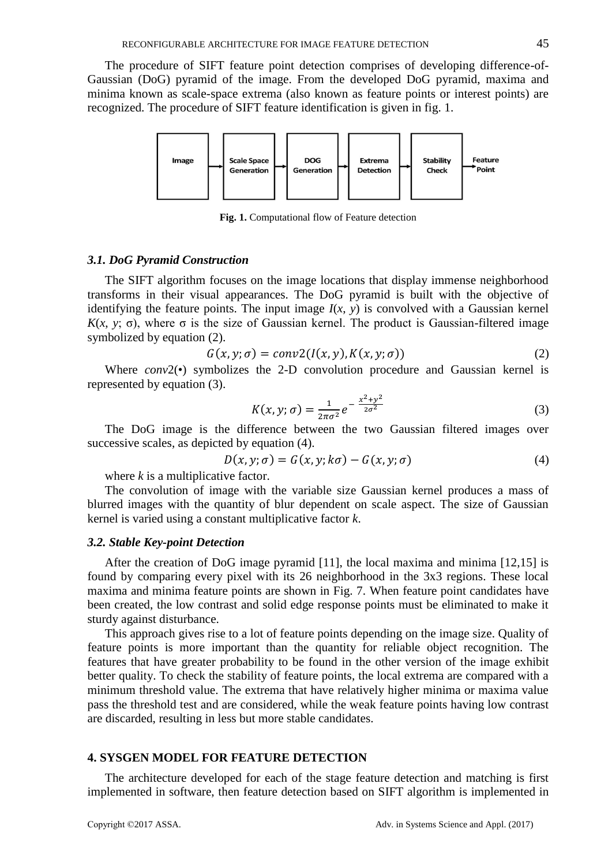The procedure of SIFT feature point detection comprises of developing difference-of-Gaussian (DoG) pyramid of the image. From the developed DoG pyramid, maxima and minima known as scale-space extrema (also known as feature points or interest points) are recognized. The procedure of SIFT feature identification is given in fig. 1.



**Fig. 1.** Computational flow of Feature detection

# *3.1. DoG Pyramid Construction*

The SIFT algorithm focuses on the image locations that display immense neighborhood transforms in their visual appearances. The DoG pyramid is built with the objective of identifying the feature points. The input image  $I(x, y)$  is convolved with a Gaussian kernel *K*(*x*, *y*; σ), where σ is the size of Gaussian kernel. The product is Gaussian-filtered image symbolized by equation (2).

$$
G(x, y; \sigma) = conv2(I(x, y), K(x, y; \sigma))
$$
\n(2)

Where *conv*2(•) symbolizes the 2-D convolution procedure and Gaussian kernel is represented by equation (3).

$$
K(x, y; \sigma) = \frac{1}{2\pi\sigma^2} e^{-\frac{x^2 + y^2}{2\sigma^2}}
$$
 (3)

The DoG image is the difference between the two Gaussian filtered images over successive scales, as depicted by equation (4).

$$
D(x, y; \sigma) = G(x, y; k\sigma) - G(x, y; \sigma)
$$
\n<sup>(4)</sup>

where *k* is a multiplicative factor.

The convolution of image with the variable size Gaussian kernel produces a mass of blurred images with the quantity of blur dependent on scale aspect. The size of Gaussian kernel is varied using a constant multiplicative factor *k*.

## *3.2. Stable Key-point Detection*

After the creation of DoG image pyramid [11], the local maxima and minima [12,15] is found by comparing every pixel with its 26 neighborhood in the 3x3 regions. These local maxima and minima feature points are shown in Fig. 7. When feature point candidates have been created, the low contrast and solid edge response points must be eliminated to make it sturdy against disturbance.

This approach gives rise to a lot of feature points depending on the image size. Quality of feature points is more important than the quantity for reliable object recognition. The features that have greater probability to be found in the other version of the image exhibit better quality. To check the stability of feature points, the local extrema are compared with a minimum threshold value. The extrema that have relatively higher minima or maxima value pass the threshold test and are considered, while the weak feature points having low contrast are discarded, resulting in less but more stable candidates.

# **4. SYSGEN MODEL FOR FEATURE DETECTION**

The architecture developed for each of the stage feature detection and matching is first implemented in software, then feature detection based on SIFT algorithm is implemented in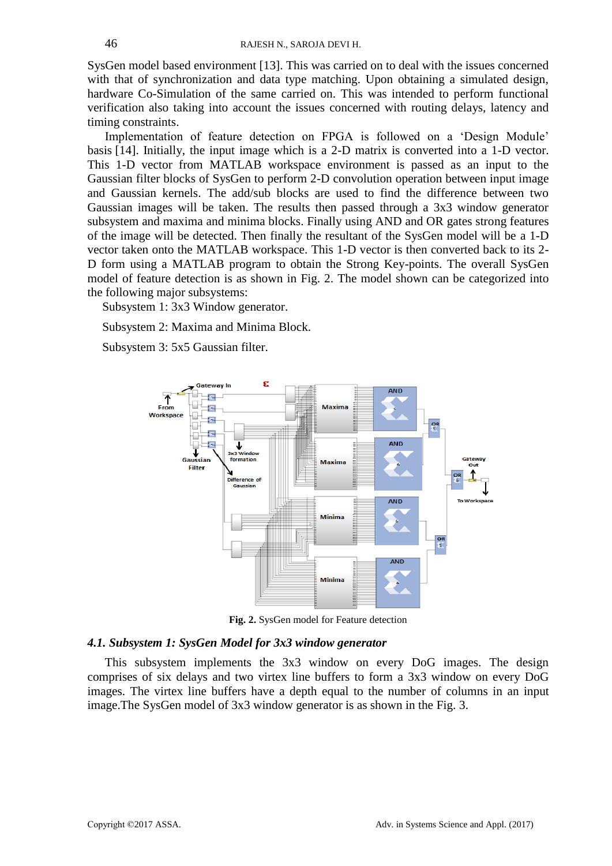SysGen model based environment [13]. This was carried on to deal with the issues concerned with that of synchronization and data type matching. Upon obtaining a simulated design, hardware Co-Simulation of the same carried on. This was intended to perform functional verification also taking into account the issues concerned with routing delays, latency and timing constraints.

Implementation of feature detection on FPGA is followed on a 'Design Module' basis [14]. Initially, the input image which is a 2-D matrix is converted into a 1-D vector. This 1-D vector from MATLAB workspace environment is passed as an input to the Gaussian filter blocks of SysGen to perform 2-D convolution operation between input image and Gaussian kernels. The add/sub blocks are used to find the difference between two Gaussian images will be taken. The results then passed through a 3x3 window generator subsystem and maxima and minima blocks. Finally using AND and OR gates strong features of the image will be detected. Then finally the resultant of the SysGen model will be a 1-D vector taken onto the MATLAB workspace. This 1-D vector is then converted back to its 2- D form using a MATLAB program to obtain the Strong Key-points. The overall SysGen model of feature detection is as shown in Fig. 2. The model shown can be categorized into the following major subsystems:

Subsystem 1: 3x3 Window generator.

Subsystem 2: Maxima and Minima Block.

Subsystem 3: 5x5 Gaussian filter.



**Fig. 2.** SysGen model for Feature detection

# *4.1. Subsystem 1: SysGen Model for 3x3 window generator*

This subsystem implements the 3x3 window on every DoG images. The design comprises of six delays and two virtex line buffers to form a 3x3 window on every DoG images. The virtex line buffers have a depth equal to the number of columns in an input image.The SysGen model of 3x3 window generator is as shown in the Fig. 3.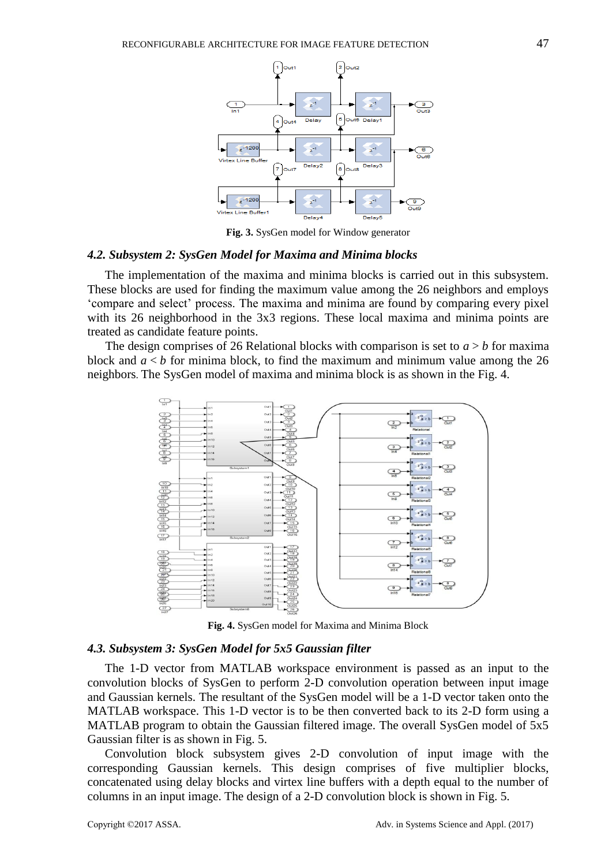

**Fig. 3.** SysGen model for Window generator

## *4.2. Subsystem 2: SysGen Model for Maxima and Minima blocks*

The implementation of the maxima and minima blocks is carried out in this subsystem. These blocks are used for finding the maximum value among the 26 neighbors and employs 'compare and select' process. The maxima and minima are found by comparing every pixel with its 26 neighborhood in the 3x3 regions. These local maxima and minima points are treated as candidate feature points.

The design comprises of 26 Relational blocks with comparison is set to  $a > b$  for maxima block and *a* < *b* for minima block, to find the maximum and minimum value among the 26 neighbors. The SysGen model of maxima and minima block is as shown in the Fig. 4.



**Fig. 4.** SysGen model for Maxima and Minima Block

#### *4.3. Subsystem 3: SysGen Model for 5x5 Gaussian filter*

The 1-D vector from MATLAB workspace environment is passed as an input to the convolution blocks of SysGen to perform 2-D convolution operation between input image and Gaussian kernels. The resultant of the SysGen model will be a 1-D vector taken onto the MATLAB workspace. This 1-D vector is to be then converted back to its 2-D form using a MATLAB program to obtain the Gaussian filtered image. The overall SysGen model of 5x5 Gaussian filter is as shown in Fig. 5.

Convolution block subsystem gives 2-D convolution of input image with the corresponding Gaussian kernels. This design comprises of five multiplier blocks, concatenated using delay blocks and virtex line buffers with a depth equal to the number of columns in an input image. The design of a 2-D convolution block is shown in Fig. 5.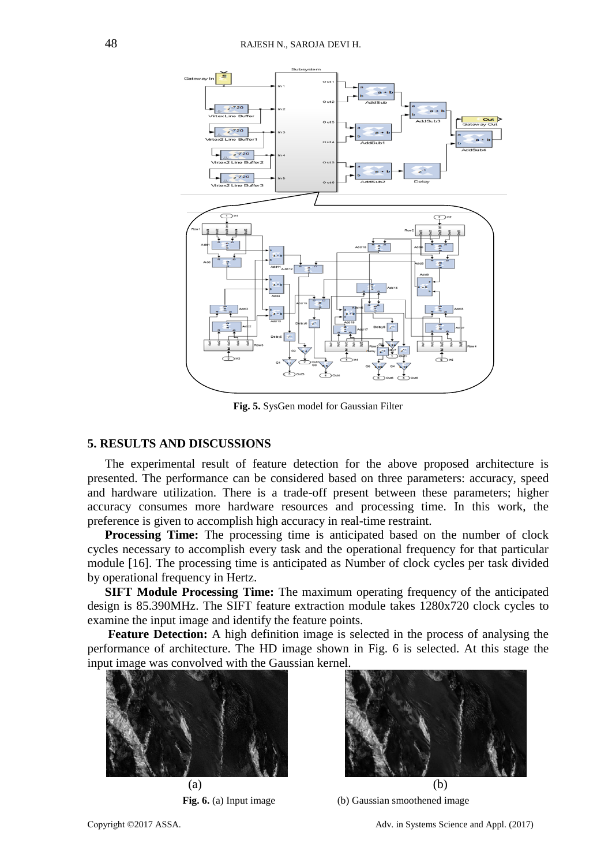

**Fig. 5.** SysGen model for Gaussian Filter

# **5. RESULTS AND DISCUSSIONS**

The experimental result of feature detection for the above proposed architecture is presented. The performance can be considered based on three parameters: accuracy, speed and hardware utilization. There is a trade-off present between these parameters; higher accuracy consumes more hardware resources and processing time. In this work, the preference is given to accomplish high accuracy in real-time restraint.

**Processing Time:** The processing time is anticipated based on the number of clock cycles necessary to accomplish every task and the operational frequency for that particular module [16]. The processing time is anticipated as Number of clock cycles per task divided by operational frequency in Hertz.

**SIFT Module Processing Time:** The maximum operating frequency of the anticipated design is 85.390MHz. The SIFT feature extraction module takes 1280x720 clock cycles to examine the input image and identify the feature points.

**Feature Detection:** A high definition image is selected in the process of analysing the performance of architecture. The HD image shown in Fig. 6 is selected. At this stage the input image was convolved with the Gaussian kernel.





**Fig. 6.** (a) Input image (b) Gaussian smoothened image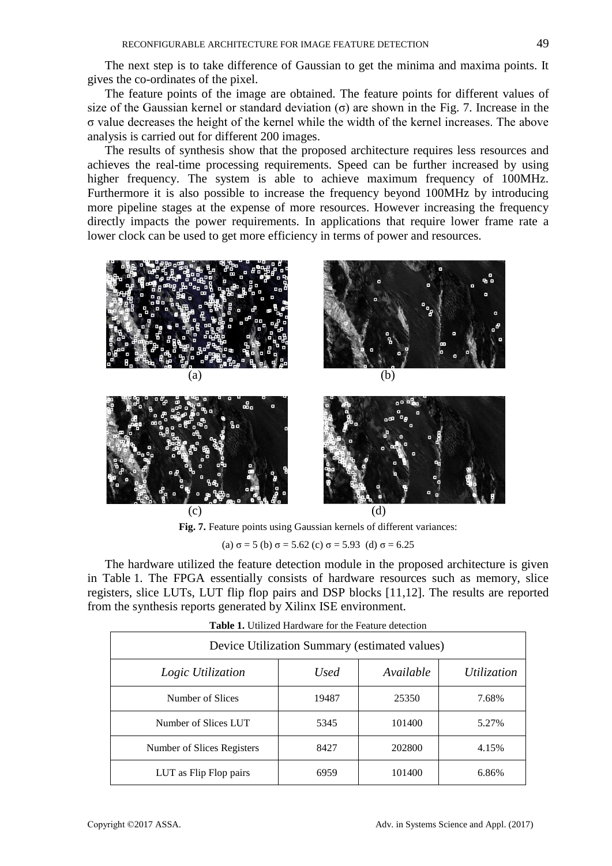The next step is to take difference of Gaussian to get the minima and maxima points. It gives the co-ordinates of the pixel.

The feature points of the image are obtained. The feature points for different values of size of the Gaussian kernel or standard deviation  $\sigma$  are shown in the Fig. 7. Increase in the σ value decreases the height of the kernel while the width of the kernel increases. The above analysis is carried out for different 200 images.

The results of synthesis show that the proposed architecture requires less resources and achieves the real-time processing requirements. Speed can be further increased by using higher frequency. The system is able to achieve maximum frequency of 100MHz. Furthermore it is also possible to increase the frequency beyond 100MHz by introducing more pipeline stages at the expense of more resources. However increasing the frequency directly impacts the power requirements. In applications that require lower frame rate a lower clock can be used to get more efficiency in terms of power and resources.





**Fig. 7.** Feature points using Gaussian kernels of different variances:

(a)  $\sigma$  = 5 (b)  $\sigma$  = 5.62 (c)  $\sigma$  = 5.93 (d)  $\sigma$  = 6.25

The hardware utilized the feature detection module in the proposed architecture is given in Table 1. The FPGA essentially consists of hardware resources such as memory, slice registers, slice LUTs, LUT flip flop pairs and DSP blocks [11,12]. The results are reported from the synthesis reports generated by Xilinx ISE environment.

| Device Utilization Summary (estimated values) |       |           |             |  |
|-----------------------------------------------|-------|-----------|-------------|--|
| Logic Utilization                             | Used  | Available | Utilization |  |
| Number of Slices                              | 19487 | 25350     | 7.68%       |  |
| Number of Slices LUT                          | 5345  | 101400    | 5.27%       |  |
| Number of Slices Registers                    | 8427  | 202800    | 4.15%       |  |
| LUT as Flip Flop pairs                        | 6959  | 101400    | 6.86%       |  |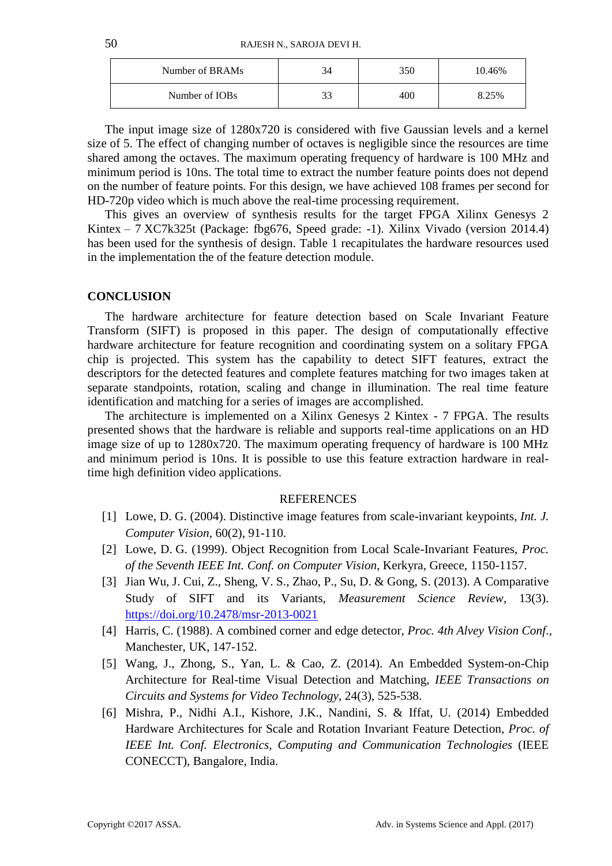50 RAJESH N., SAROJA DEVI H.

| Number of BRAMs | 350 | 10.46% |
|-----------------|-----|--------|
| Number of IOBs  | 400 | 8.25%  |

The input image size of 1280x720 is considered with five Gaussian levels and a kernel size of 5. The effect of changing number of octaves is negligible since the resources are time shared among the octaves. The maximum operating frequency of hardware is 100 MHz and minimum period is 10ns. The total time to extract the number feature points does not depend on the number of feature points. For this design, we have achieved 108 frames per second for HD-720p video which is much above the real-time processing requirement.

This gives an overview of synthesis results for the target FPGA Xilinx Genesys 2 Kintex – 7 XC7k325t (Package: fbg676, Speed grade: -1). Xilinx Vivado (version 2014.4) has been used for the synthesis of design. Table 1 recapitulates the hardware resources used in the implementation the of the feature detection module.

# **CONCLUSION**

The hardware architecture for feature detection based on Scale Invariant Feature Transform (SIFT) is proposed in this paper. The design of computationally effective hardware architecture for feature recognition and coordinating system on a solitary FPGA chip is projected. This system has the capability to detect SIFT features, extract the descriptors for the detected features and complete features matching for two images taken at separate standpoints, rotation, scaling and change in illumination. The real time feature identification and matching for a series of images are accomplished.

The architecture is implemented on a Xilinx Genesys 2 Kintex - 7 FPGA. The results presented shows that the hardware is reliable and supports real-time applications on an HD image size of up to 1280x720. The maximum operating frequency of hardware is 100 MHz and minimum period is 10ns. It is possible to use this feature extraction hardware in realtime high definition video applications.

# **REFERENCES**

- [1] Lowe, D. G. (2004). Distinctive image features from scale-invariant keypoints, *Int. J. Computer Vision*, 60(2), 91-110.
- [2] Lowe, D. G. (1999). Object Recognition from Local Scale-Invariant Features, *Proc. of the Seventh IEEE Int. Conf. on Computer Vision*, Kerkyra, Greece, 1150-1157.
- [3] Jian Wu, J. Cui, Z., Sheng, V. S., Zhao, P., Su, D. & Gong, S. (2013). A Comparative Study of SIFT and its Variants, *Measurement Science Review*, 13(3). <https://doi.org/10.2478/msr-2013-0021>
- [4] Harris, C. (1988). A combined corner and edge detector, *Proc. 4th Alvey Vision Conf*., Manchester, UK, 147-152.
- [5] Wang, J., Zhong, S., Yan, L. & Cao, Z. (2014). An Embedded System-on-Chip Architecture for Real-time Visual Detection and Matching, *IEEE Transactions on Circuits and Systems for Video Technology*, 24(3), 525-538.
- [6] Mishra, P., Nidhi A.I., Kishore, J.K., Nandini, S. & Iffat, U. (2014) Embedded Hardware Architectures for Scale and Rotation Invariant Feature Detection, *Proc. of IEEE Int. Conf. Electronics, Computing and Communication Technologies* (IEEE CONECCT), Bangalore, India.